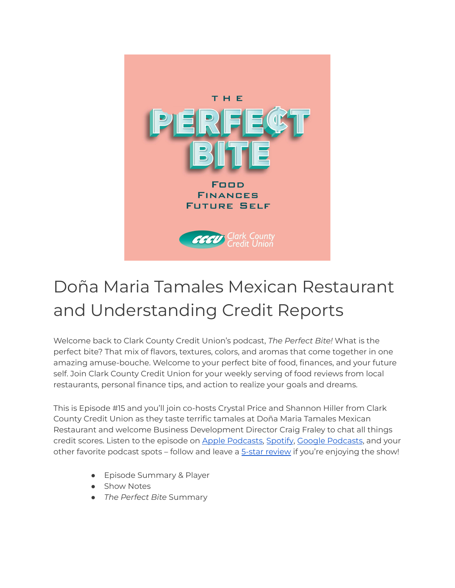

## Doña Maria Tamales Mexican Restaurant and Understanding Credit Reports

Welcome back to Clark County Credit Union's podcast, *The Perfect Bite!* What is the perfect bite? That mix of flavors, textures, colors, and aromas that come together in one amazing amuse-bouche. Welcome to your perfect bite of food, finances, and your future self. Join Clark County Credit Union for your weekly serving of food reviews from local restaurants, personal finance tips, and action to realize your goals and dreams.

This is Episode #15 and you'll join co-hosts Crystal Price and Shannon Hiller from Clark County Credit Union as they taste terrific tamales at Doña Maria Tamales Mexican Restaurant and welcome Business Development Director Craig Fraley to chat all things credit scores. Listen to the episode on Apple [Podcasts,](https://podcasts.apple.com/us/podcast/the-perfect-bite/id1604656448) [Spotify](https://open.spotify.com/show/7tNPJZBNHabGWEFmjnHaxR?si=a0a7808911264628), Google [Podcasts](https://podcasts.google.com/feed/aHR0cHM6Ly9wZXJmZWN0Yml0ZS5saWJzeW4uY29tL3Jzcw?sa=X&ved=0CAMQ4aUDahcKEwi47ZHlgPP1AhUAAAAAHQAAAAAQRA), and your other favorite podcast spots – follow and leave a 5-star [review](https://podcasts.apple.com/us/podcast/the-perfect-bite/id1604656448) if you're enjoying the show!

- Episode Summary & Player
- Show Notes
- *The Perfect Bite* Summary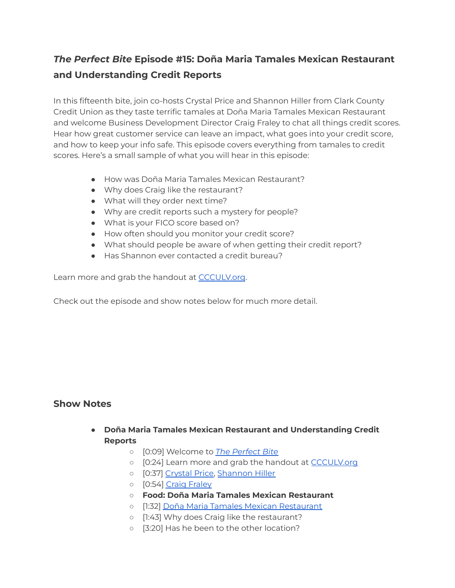## *The Perfect Bite* **Episode #15: Doña Maria Tamales Mexican Restaurant and Understanding Credit Reports**

In this fifteenth bite, join co-hosts Crystal Price and Shannon Hiller from Clark County Credit Union as they taste terrific tamales at Doña Maria Tamales Mexican Restaurant and welcome Business Development Director Craig Fraley to chat all things credit scores. Hear how great customer service can leave an impact, what goes into your credit score, and how to keep your info safe. This episode covers everything from tamales to credit scores. Here's a small sample of what you will hear in this episode:

- How was Doña Maria Tamales Mexican Restaurant?
- Why does Craig like the restaurant?
- What will they order next time?
- Why are credit reports such a mystery for people?
- What is your FICO score based on?
- How often should you monitor your credit score?
- What should people be aware of when getting their credit report?
- Has Shannon ever contacted a credit bureau?

Learn more and grab the handout at [CCCULV.org](https://www.ccculv.org/).

Check out the episode and show notes below for much more detail.

## **Show Notes**

- **Doña Maria Tamales Mexican Restaurant and Understanding Credit Reports**
	- [0:09] Welcome to *[The Perfect Bite](https://www.ccculv.org/)*
	- o [0:24] Learn more and grab the handout at [CCCULV.org](https://www.ccculv.org/)
	- [0:37] [Crystal Price,](https://www.ccculv.org/Our-Mission.aspx) [Shannon Hiller](https://www.ccculv.org/Our-Mission.aspx)
	- [0:54] [Craig Fraley](https://www.facebook.com/CCCULV/posts/our-own-craig-fraley-represented-cccu-on-channel-13s-las-vegas-morning-blend-tod/5100808196597842/)
	- **○ Food: Doña Maria Tamales Mexican Restaurant**
	- [1:32] [Doña Maria Tamales Mexican Restaurant](https://donamariatamales.com/)
	- [1:43] Why does Craig like the restaurant?
	- [3:20] Has he been to the other location?